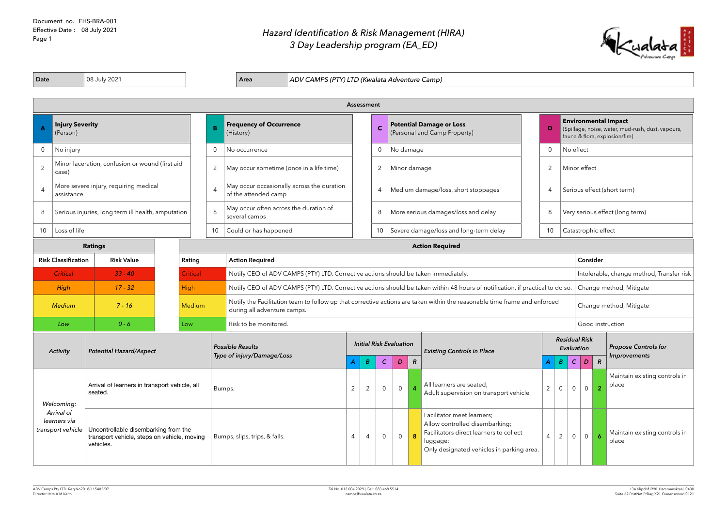Document no. EHS-BRA-001 Effective Date : 08 July 2021 Page 1

## *Hazard Identification & Risk Management (HIRA) 3 Day Leadership program (EA\_ED)*

| 08 July 2021<br>Date<br>ADV CAMPS (PTY) LTD (Kwalata Adventure Camp)<br>Area |                                                                       |                                                                                                  |  |               |                                                                    |                                                                                                                                 |                                                                                                                               |                     |                  |                                |                                        |                                     |                                                                                                                                                                  |                |                                    |                                                                                                                    |                         |                                 |                                        |  |  |
|------------------------------------------------------------------------------|-----------------------------------------------------------------------|--------------------------------------------------------------------------------------------------|--|---------------|--------------------------------------------------------------------|---------------------------------------------------------------------------------------------------------------------------------|-------------------------------------------------------------------------------------------------------------------------------|---------------------|------------------|--------------------------------|----------------------------------------|-------------------------------------|------------------------------------------------------------------------------------------------------------------------------------------------------------------|----------------|------------------------------------|--------------------------------------------------------------------------------------------------------------------|-------------------------|---------------------------------|----------------------------------------|--|--|
|                                                                              |                                                                       |                                                                                                  |  |               |                                                                    |                                                                                                                                 |                                                                                                                               |                     | Assessment       |                                |                                        |                                     |                                                                                                                                                                  |                |                                    |                                                                                                                    |                         |                                 |                                        |  |  |
|                                                                              | (Person)                                                              | <b>Injury Severity</b><br>B                                                                      |  |               | <b>Frequency of Occurrence</b><br>(History)                        | <b>Potential Damage or Loss</b><br>$\mathbf C$<br>(Personal and Camp Property)                                                  |                                                                                                                               |                     |                  |                                |                                        |                                     | D                                                                                                                                                                |                |                                    | <b>Environmental Impact</b><br>(Spillage, noise, water, mud-rush, dust, vapours,<br>fauna & flora, explosion/fire) |                         |                                 |                                        |  |  |
| 0                                                                            | No injury<br>$\overline{0}$                                           |                                                                                                  |  |               | No occurrence                                                      |                                                                                                                                 |                                                                                                                               |                     |                  |                                |                                        | No damage                           | $\overline{0}$                                                                                                                                                   |                | No effect                          |                                                                                                                    |                         |                                 |                                        |  |  |
| $\overline{2}$                                                               | Minor laceration, confusion or wound (first aid<br>2<br>case)         |                                                                                                  |  |               | May occur sometime (once in a life time)                           |                                                                                                                                 | 2<br>Minor damage                                                                                                             |                     |                  |                                |                                        |                                     |                                                                                                                                                                  |                |                                    | Minor effect                                                                                                       |                         |                                 |                                        |  |  |
| $\overline{A}$                                                               | More severe injury, requiring medical<br>$\overline{4}$<br>assistance |                                                                                                  |  |               | May occur occasionally across the duration<br>of the attended camp |                                                                                                                                 |                                                                                                                               |                     | $\overline{4}$   |                                |                                        | Medium damage/loss, short stoppages | $\overline{4}$                                                                                                                                                   |                |                                    | Serious effect (short term)                                                                                        |                         |                                 |                                        |  |  |
| 8                                                                            | 8<br>Serious injuries, long term ill health, amputation               |                                                                                                  |  |               | May occur often across the duration of<br>several camps            |                                                                                                                                 |                                                                                                                               |                     | 8                |                                |                                        | More serious damages/loss and delay | 8                                                                                                                                                                |                |                                    |                                                                                                                    |                         | Very serious effect (long term) |                                        |  |  |
| Loss of life<br>10                                                           |                                                                       |                                                                                                  |  | 10            | Could or has happened                                              |                                                                                                                                 |                                                                                                                               |                     | 10               |                                | Severe damage/loss and long-term delay | 10                                  | Catastrophic effect                                                                                                                                              |                |                                    |                                                                                                                    |                         |                                 |                                        |  |  |
|                                                                              |                                                                       | <b>Ratings</b>                                                                                   |  |               |                                                                    |                                                                                                                                 |                                                                                                                               |                     |                  |                                | <b>Action Required</b>                 |                                     |                                                                                                                                                                  |                |                                    |                                                                                                                    |                         |                                 |                                        |  |  |
| <b>Risk Classification</b><br><b>Risk Value</b><br>Rating                    |                                                                       |                                                                                                  |  |               | <b>Action Required</b>                                             |                                                                                                                                 |                                                                                                                               |                     |                  |                                |                                        |                                     |                                                                                                                                                                  |                |                                    | Consider                                                                                                           |                         |                                 |                                        |  |  |
|                                                                              | <b>Critical</b><br><b>Critical</b><br>$33 - 40$                       |                                                                                                  |  |               |                                                                    | Notify CEO of ADV CAMPS (PTY) LTD. Corrective actions should be taken immediately.<br>Intolerable, change method, Transfer risk |                                                                                                                               |                     |                  |                                |                                        |                                     |                                                                                                                                                                  |                |                                    |                                                                                                                    |                         |                                 |                                        |  |  |
|                                                                              | High                                                                  | $17 - 32$                                                                                        |  | <b>High</b>   |                                                                    |                                                                                                                                 | Notify CEO of ADV CAMPS (PTY) LTD. Corrective actions should be taken within 48 hours of notification, if practical to do so. |                     |                  |                                |                                        |                                     |                                                                                                                                                                  |                |                                    | Change method, Mitigate                                                                                            |                         |                                 |                                        |  |  |
|                                                                              | <b>Medium</b>                                                         | $7 - 16$                                                                                         |  | <b>Medium</b> |                                                                    | during all adventure camps.                                                                                                     | Notify the Facilitation team to follow up that corrective actions are taken within the reasonable time frame and enforced     |                     |                  |                                |                                        |                                     |                                                                                                                                                                  |                |                                    |                                                                                                                    | Change method, Mitigate |                                 |                                        |  |  |
|                                                                              | Low                                                                   | $0 - 6$                                                                                          |  | Low           |                                                                    | Risk to be monitored.                                                                                                           |                                                                                                                               |                     |                  |                                |                                        |                                     |                                                                                                                                                                  |                |                                    |                                                                                                                    | Good instruction        |                                 |                                        |  |  |
|                                                                              | <b>Activity</b>                                                       | <b>Potential Hazard/Aspect</b>                                                                   |  |               |                                                                    | <b>Possible Results</b><br>Type of injury/Damage/Loss                                                                           |                                                                                                                               |                     |                  | <b>Initial Risk Evaluation</b> |                                        |                                     | <b>Existing Controls in Place</b>                                                                                                                                |                | <b>Residual Risk</b><br>Evaluation |                                                                                                                    |                         | <b>Propose Controls for</b>     |                                        |  |  |
|                                                                              |                                                                       |                                                                                                  |  |               |                                                                    |                                                                                                                                 |                                                                                                                               | A                   | $\boldsymbol{B}$ | $\mathcal{C}$                  | D                                      | $\overline{R}$                      |                                                                                                                                                                  | $\mathcal{A}$  | $\overline{B}$                     | C                                                                                                                  | $\mathbf{D}$            | $\mathcal{R}$                   | <b>Improvements</b>                    |  |  |
|                                                                              |                                                                       | Arrival of learners in transport vehicle, all<br>seated.                                         |  |               | Bumps.                                                             |                                                                                                                                 |                                                                                                                               | $\overline{2}$<br>2 |                  | $\overline{0}$                 | $\overline{0}$                         |                                     | All learners are seated;<br>Adult supervision on transport vehicle                                                                                               | $\overline{2}$ | $\overline{0}$                     | $\overline{0}$                                                                                                     | $\overline{0}$          | $\overline{2}$                  | Maintain existing controls in<br>place |  |  |
|                                                                              | Welcoming:<br>Arrival of<br>learners via<br>transport vehicle         | Uncontrollable disembarking from the<br>transport vehicle, steps on vehicle, moving<br>vehicles. |  |               |                                                                    | Bumps, slips, trips, & falls.                                                                                                   |                                                                                                                               |                     | 4                | $\overline{0}$                 | $\overline{0}$                         | 8                                   | Facilitator meet learners;<br>Allow controlled disembarking;<br>Facilitators direct learners to collect<br>luggage;<br>Only designated vehicles in parking area. | $\overline{4}$ | $2^{\circ}$                        | $\overline{0}$                                                                                                     | $\overline{0}$          | $\overline{6}$                  | Maintain existing controls in<br>place |  |  |

**A** Kualata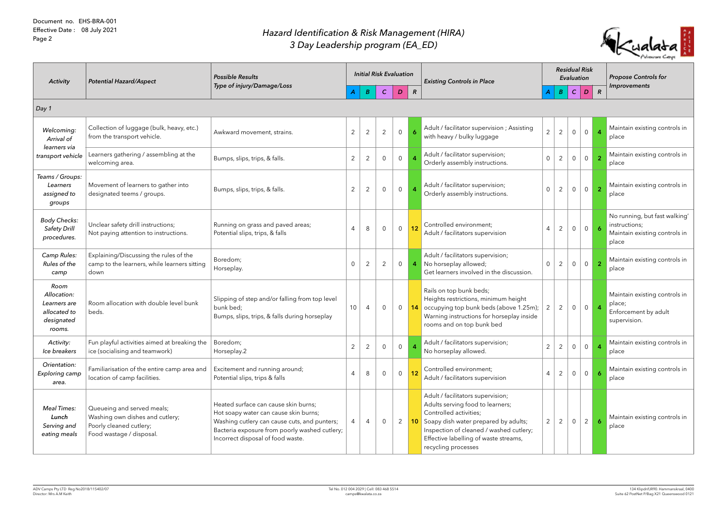| <b>Activity</b>                                                             | <b>Potential Hazard/Aspect</b>                                                                                       | <b>Possible Results</b><br>Type of injury/Damage/Loss                                                                                                                                                               |                |                | <b>Initial Risk Evaluation</b> |                |                | <b>Existing Controls in Place</b>                                                                                                                                                                                                                            |                | <b>Residual Risk</b><br>Evaluation |                |                |                | <b>Propose Controls for</b>                                                              |  |
|-----------------------------------------------------------------------------|----------------------------------------------------------------------------------------------------------------------|---------------------------------------------------------------------------------------------------------------------------------------------------------------------------------------------------------------------|----------------|----------------|--------------------------------|----------------|----------------|--------------------------------------------------------------------------------------------------------------------------------------------------------------------------------------------------------------------------------------------------------------|----------------|------------------------------------|----------------|----------------|----------------|------------------------------------------------------------------------------------------|--|
|                                                                             |                                                                                                                      |                                                                                                                                                                                                                     |                | B              | $\mathcal{C}$                  | $\mathbf{D}$   | $\mathcal{R}$  |                                                                                                                                                                                                                                                              |                | B                                  | $\mathcal{C}$  | D              | $\mathcal{R}$  | Improvements                                                                             |  |
| Day1                                                                        |                                                                                                                      |                                                                                                                                                                                                                     |                |                |                                |                |                |                                                                                                                                                                                                                                                              |                |                                    |                |                |                |                                                                                          |  |
| Welcoming:<br>Arrival of                                                    | Collection of luggage (bulk, heavy, etc.)<br>from the transport vehicle.                                             | Awkward movement, strains.                                                                                                                                                                                          | $\overline{2}$ | $\overline{2}$ | 2                              | $\overline{0}$ |                | Adult / facilitator supervision ; Assisting<br>with heavy / bulky luggage                                                                                                                                                                                    | $\overline{2}$ | $\overline{2}$                     | $\overline{0}$ | $\overline{0}$ | $\overline{4}$ | Maintain existing controls in<br>place                                                   |  |
| learners via<br>transport vehicle                                           | Learners gathering / assembling at the<br>welcoming area.                                                            | Bumps, slips, trips, & falls.                                                                                                                                                                                       | $\overline{2}$ | $\overline{2}$ | $\overline{0}$                 | $\overline{0}$ |                | Adult / facilitator supervision;<br>Orderly assembly instructions.                                                                                                                                                                                           | $\overline{0}$ | $\overline{2}$                     | $\overline{0}$ | $\overline{0}$ | $\overline{2}$ | Maintain existing controls in<br>place                                                   |  |
| Teams / Groups:<br>Learners<br>assigned to<br>groups                        | Movement of learners to gather into<br>designated teems / groups.                                                    | Bumps, slips, trips, & falls.                                                                                                                                                                                       | $\overline{2}$ | $\overline{2}$ | $\overline{0}$                 | $\overline{0}$ |                | Adult / facilitator supervision;<br>Orderly assembly instructions.                                                                                                                                                                                           | $\overline{0}$ | $\overline{2}$                     | $\mathsf{O}$   | $\overline{0}$ | $\overline{2}$ | Maintain existing controls in<br>place                                                   |  |
| <b>Body Checks:</b><br><b>Safety Drill</b><br>procedures.                   | Unclear safety drill instructions;<br>Not paying attention to instructions.                                          | Running on grass and paved areas;<br>Potential slips, trips, & falls                                                                                                                                                | 4              | 8              | $\overline{0}$                 | $\overline{0}$ | 12             | Controlled environment;<br>Adult / facilitators supervision                                                                                                                                                                                                  | $\overline{4}$ | $\overline{2}$                     | $\overline{0}$ | $0-1$          | $\overline{6}$ | No running, but fast walking'<br>instructions;<br>Maintain existing controls in<br>place |  |
| Camp Rules:<br>Rules of the<br>camp                                         | Explaining/Discussing the rules of the<br>camp to the learners, while learners sitting<br>down                       | Boredom;<br>Horseplay.                                                                                                                                                                                              | 0              | $\overline{2}$ | $\mathbf{2}$                   | $\overline{0}$ | $\overline{4}$ | Adult / facilitators supervision;<br>No horseplay allowed;<br>Get learners involved in the discussion.                                                                                                                                                       | $\overline{0}$ | $\overline{2}$                     | $\overline{0}$ | $\overline{0}$ | $\overline{2}$ | Maintain existing controls in<br>place                                                   |  |
| Room<br>Allocation:<br>Learners are<br>allocated to<br>designated<br>rooms. | Room allocation with double level bunk<br>beds.                                                                      | Slipping of step and/or falling from top level<br>bunk bed;<br>Bumps, slips, trips, & falls during horseplay                                                                                                        | 10             | 4              | $\overline{0}$                 | $\overline{0}$ |                | Rails on top bunk beds;<br>Heights restrictions, minimum height<br>14 occupying top bunk beds (above 1.25m);<br>Warning instructions for horseplay inside<br>rooms and on top bunk bed                                                                       | $\overline{2}$ | $\overline{2}$                     | $\overline{0}$ | 0 <sup>1</sup> | $\overline{4}$ | Maintain existing controls in<br>place;<br>Enforcement by adult<br>supervision.          |  |
| Activity:<br>Ice breakers                                                   | Fun playful activities aimed at breaking the<br>ice (socialising and teamwork)                                       | Boredom;<br>Horseplay.2                                                                                                                                                                                             | $\overline{2}$ | $\overline{2}$ | $\overline{0}$                 | $\overline{0}$ |                | Adult / facilitators supervision;<br>No horseplay allowed.                                                                                                                                                                                                   | $\overline{2}$ | $\overline{2}$                     | $\overline{0}$ | $\overline{0}$ |                | Maintain existing controls in<br>place                                                   |  |
| Orientation:<br>Exploring camp<br>area.                                     | Familiarisation of the entire camp area and<br>location of camp facilities.                                          | Excitement and running around;<br>Potential slips, trips & falls                                                                                                                                                    | 4              | 8              | $\overline{0}$                 | $\overline{0}$ | 12             | Controlled environment;<br>Adult / facilitators supervision                                                                                                                                                                                                  | $\overline{4}$ | $\overline{2}$                     | $\overline{0}$ | $\overline{0}$ | 6              | Maintain existing controls in<br>place                                                   |  |
| <b>Meal Times:</b><br>Lunch<br>Serving and<br>eating meals                  | Queueing and served meals;<br>Washing own dishes and cutlery;<br>Poorly cleaned cutlery;<br>Food wastage / disposal. | Heated surface can cause skin burns;<br>Hot soapy water can cause skin burns;<br>Washing cutlery can cause cuts, and punters;<br>Bacteria exposure from poorly washed cutlery;<br>Incorrect disposal of food waste. | 4              | 4              | $\overline{0}$                 | $\mathbf{2}$   |                | Adult / facilitators supervision;<br>Adults serving food to learners;<br>Controlled activities;<br><b>10</b> Soapy dish water prepared by adults;<br>Inspection of cleaned / washed cutlery;<br>Effective labelling of waste streams,<br>recycling processes | $\overline{2}$ | 2                                  | $\overline{0}$ | $\overline{2}$ | 6              | Maintain existing controls in<br>place                                                   |  |

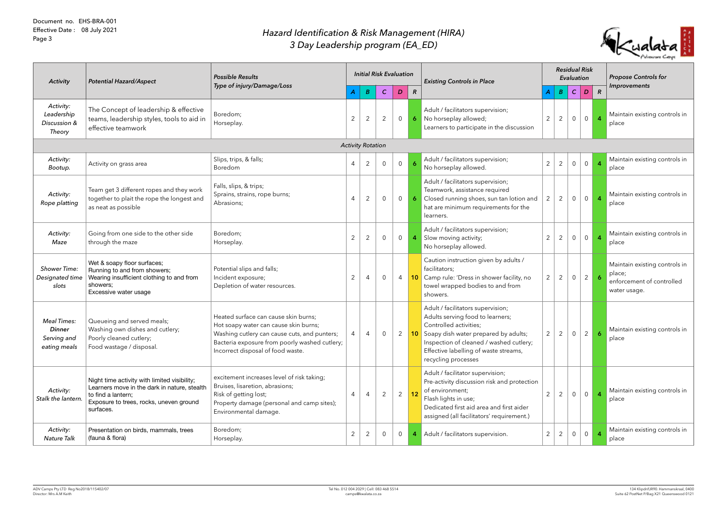| <b>Activity</b>                                                    | <b>Potential Hazard/Aspect</b>                                                                                                                                             | <b>Possible Results</b><br>Type of injury/Damage/Loss                                                                                                                                                               |                |                          | <b>Initial Risk Evaluation</b> |                |                | <b>Existing Controls in Place</b>                                                                                                                                                                                                                            |                | <b>Residual Risk</b><br>Evaluation |                |                |                | <b>Propose Controls for</b>                                                          |
|--------------------------------------------------------------------|----------------------------------------------------------------------------------------------------------------------------------------------------------------------------|---------------------------------------------------------------------------------------------------------------------------------------------------------------------------------------------------------------------|----------------|--------------------------|--------------------------------|----------------|----------------|--------------------------------------------------------------------------------------------------------------------------------------------------------------------------------------------------------------------------------------------------------------|----------------|------------------------------------|----------------|----------------|----------------|--------------------------------------------------------------------------------------|
|                                                                    |                                                                                                                                                                            |                                                                                                                                                                                                                     |                | $\boldsymbol{B}$         | $\mathcal{C}$                  | D              | $\mathcal{R}$  |                                                                                                                                                                                                                                                              |                |                                    | $B \mid C$     | D              | $\mathcal{R}$  | Improvements                                                                         |
| Activity:<br>Leadership<br>Discussion &<br>Theory                  | The Concept of leadership & effective<br>teams, leadership styles, tools to aid in<br>effective teamwork                                                                   | Boredom;<br>Horseplay.                                                                                                                                                                                              | $\overline{2}$ | $\overline{2}$           | 2                              | $\overline{0}$ | $\overline{6}$ | Adult / facilitators supervision;<br>No horseplay allowed;<br>Learners to participate in the discussion                                                                                                                                                      | $\overline{2}$ | $\overline{2}$                     | $\overline{0}$ | $\circ$        | $\overline{4}$ | Maintain existing controls in<br>place                                               |
|                                                                    |                                                                                                                                                                            |                                                                                                                                                                                                                     |                | <b>Activity Rotation</b> |                                |                |                |                                                                                                                                                                                                                                                              |                |                                    |                |                |                |                                                                                      |
| Activity:<br>Bootup.                                               | Activity on grass area                                                                                                                                                     | Slips, trips, & falls;<br>Boredom                                                                                                                                                                                   | 4              | $\overline{2}$           | $\overline{0}$                 | $\overline{0}$ | -6             | Adult / facilitators supervision;<br>No horseplay allowed.                                                                                                                                                                                                   | $\overline{2}$ | $\overline{2}$                     | $\overline{0}$ | 0              |                | Maintain existing controls in<br>place                                               |
| Activity:<br>Rope platting                                         | Team get 3 different ropes and they work<br>together to plait the rope the longest and<br>as neat as possible                                                              | Falls, slips, & trips;<br>Sprains, strains, rope burns;<br>Abrasions;                                                                                                                                               | $\overline{4}$ | $\overline{2}$           | $\overline{0}$                 | $\overline{0}$ | 6              | Adult / facilitators supervision;<br>Teamwork, assistance required<br>Closed running shoes, sun tan lotion and<br>hat are minimum requirements for the<br>learners.                                                                                          | $\overline{2}$ | 2                                  | $\overline{0}$ | $\overline{0}$ | $\overline{4}$ | Maintain existing controls in<br>place                                               |
| Activity:<br>Maze                                                  | Going from one side to the other side<br>through the maze                                                                                                                  | Boredom;<br>Horseplay.                                                                                                                                                                                              | $\overline{2}$ | $\overline{2}$           | $\overline{0}$                 | $\overline{0}$ | $\overline{a}$ | Adult / facilitators supervision;<br>Slow moving activity;<br>No horseplay allowed.                                                                                                                                                                          | $2^{\circ}$    | $\overline{2}$                     | $\overline{0}$ | $\circ$        | $\overline{4}$ | Maintain existing controls in<br>place                                               |
| <b>Shower Time:</b><br>Designated time<br>slots                    | Wet & soapy floor surfaces;<br>Running to and from showers;<br>Wearing insufficient clothing to and from<br>showers;<br>Excessive water usage                              | Potential slips and falls;<br>Incident exposure;<br>Depletion of water resources.                                                                                                                                   | $\overline{2}$ | 4                        | $\overline{0}$                 | $\overline{4}$ |                | Caution instruction given by adults /<br>facilitators;<br>10 Camp rule: 'Dress in shower facility, no<br>towel wrapped bodies to and from<br>showers.                                                                                                        | $\overline{2}$ | $\overline{2}$                     | $\overline{0}$ | 2              | 6              | Maintain existing controls in<br>place;<br>enforcement of controlled<br>water usage. |
| <b>Meal Times:</b><br><b>Dinner</b><br>Serving and<br>eating meals | Queueing and served meals;<br>Washing own dishes and cutlery;<br>Poorly cleaned cutlery;<br>Food wastage / disposal.                                                       | Heated surface can cause skin burns;<br>Hot soapy water can cause skin burns;<br>Washing cutlery can cause cuts, and punters;<br>Bacteria exposure from poorly washed cutlery;<br>Incorrect disposal of food waste. | $\overline{4}$ | 4                        | 0                              | 2              |                | Adult / facilitators supervision;<br>Adults serving food to learners;<br>Controlled activities;<br><b>10</b> Soapy dish water prepared by adults;<br>Inspection of cleaned / washed cutlery;<br>Effective labelling of waste streams,<br>recycling processes | $\overline{2}$ | 2                                  | $\overline{0}$ | $2^{\circ}$    | 6              | Maintain existing controls in<br>place                                               |
| Activity:<br>Stalk the lantern.                                    | Night time activity with limited visibility;<br>Learners move in the dark in nature, stealth<br>to find a lantern;<br>Exposure to trees, rocks, uneven ground<br>surfaces. | excitement increases level of risk taking;<br>Bruises, lisaretion, abrasions;<br>Risk of getting lost;<br>Property damage (personal and camp sites);<br>Environmental damage.                                       | 4              | 4                        | 2                              | $\overline{2}$ | 12             | Adult / facilitator supervision;<br>Pre-activity discussion risk and protection<br>of environment;<br>Flash lights in use;<br>Dedicated first aid area and first aider<br>assigned (all facilitators' requirement.)                                          | $\overline{2}$ | 2                                  | $\overline{0}$ | 0              | 4              | Maintain existing controls in<br>place                                               |
| Activity:<br><b>Nature Talk</b>                                    | Presentation on birds, mammals, trees<br>(fauna & flora)                                                                                                                   | Boredom;<br>Horseplay.                                                                                                                                                                                              | $\overline{2}$ | 2                        | $\overline{0}$                 | $\overline{0}$ |                | Adult / facilitators supervision.                                                                                                                                                                                                                            | $\overline{2}$ | 2                                  | $\overline{0}$ | 0              | 4              | Maintain existing controls in<br>place                                               |

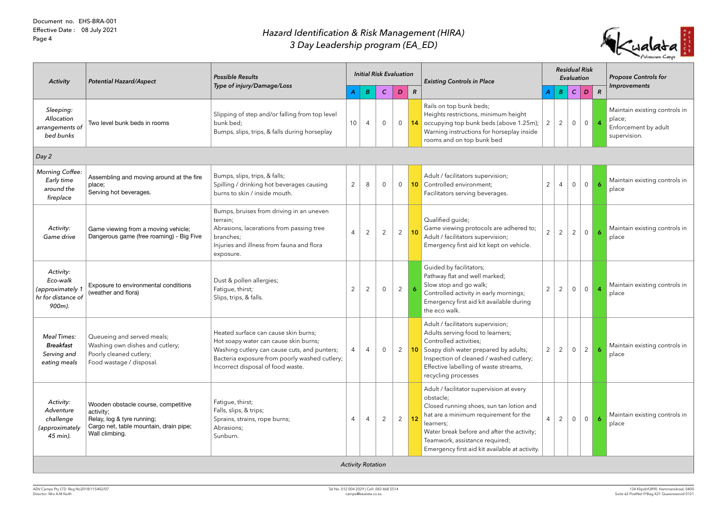## *Hazard Identification & Risk Management (HIRA) 3 Day Leadership program (EA\_ED)*

| <b>Activity</b>                                                           | <b>Potential Hazard/Aspect</b>                                                                                                             | <b>Possible Results</b>                                                                                                                                                                                             |                |                | <b>Initial Risk Evaluation</b> |                |                 | <b>Existing Controls in Place</b>                                                                                                                                                                                                                                                         |                | <b>Residual Risk</b> | Evaluation     |                  |                     | <b>Propose Controls for</b>                                                     |
|---------------------------------------------------------------------------|--------------------------------------------------------------------------------------------------------------------------------------------|---------------------------------------------------------------------------------------------------------------------------------------------------------------------------------------------------------------------|----------------|----------------|--------------------------------|----------------|-----------------|-------------------------------------------------------------------------------------------------------------------------------------------------------------------------------------------------------------------------------------------------------------------------------------------|----------------|----------------------|----------------|------------------|---------------------|---------------------------------------------------------------------------------|
|                                                                           |                                                                                                                                            | Type of injury/Damage/Loss                                                                                                                                                                                          |                | B              | $\mathcal{C}$                  | D              | $\mathbb{R}$    |                                                                                                                                                                                                                                                                                           |                | $\boldsymbol{B}$     | $\mathcal{C}$  | $\boldsymbol{D}$ | $\mathbb{R}$        | Improvements                                                                    |
| Sleeping:<br>Allocation<br>arrangements of<br>bed bunks                   | Two level bunk beds in rooms                                                                                                               | Slipping of step and/or falling from top level<br>bunk bed;<br>Bumps, slips, trips, & falls during horseplay                                                                                                        | 10             | $\overline{4}$ | $\overline{0}$                 | $\overline{0}$ |                 | Rails on top bunk beds;<br>Heights restrictions, minimum height<br>14 occupying top bunk beds (above 1.25m);<br>Warning instructions for horseplay inside<br>rooms and on top bunk bed                                                                                                    | $\overline{2}$ | $\overline{2}$       | $\overline{0}$ | $\overline{0}$   | $\overline{4}$      | Maintain existing controls in<br>place;<br>Enforcement by adult<br>supervision. |
| $\log 2$                                                                  |                                                                                                                                            |                                                                                                                                                                                                                     |                |                |                                |                |                 |                                                                                                                                                                                                                                                                                           |                |                      |                |                  |                     |                                                                                 |
| <b>Morning Coffee:</b><br>Early time<br>around the<br>fireplace           | Assembling and moving around at the fire<br>place;<br>Serving hot beverages.                                                               | Bumps, slips, trips, & falls;<br>Spilling / drinking hot beverages causing<br>burns to skin / inside mouth.                                                                                                         | $\overline{2}$ | 8              | $\overline{0}$                 | $\overline{0}$ |                 | Adult / facilitators supervision;<br><b>10</b> Controlled environment;<br>Facilitators serving beverages.                                                                                                                                                                                 | $\overline{2}$ | $\overline{4}$       | $\overline{0}$ | 0                |                     | Maintain existing controls in<br>place                                          |
| Activity:<br>Game drive                                                   | Game viewing from a moving vehicle;<br>Dangerous game (free roaming) - Big Five                                                            | Bumps, bruises from driving in an uneven<br>terrain;<br>Abrasions, lacerations from passing tree<br>branches;<br>Injuries and illness from fauna and flora<br>exposure.                                             | $\overline{4}$ | 2              | $\mathbf{2}$                   | $\overline{2}$ | 10 <sup>°</sup> | Qualified guide;<br>Game viewing protocols are adhered to;<br>Adult / facilitators supervision;<br>Emergency first aid kit kept on vehicle.                                                                                                                                               | $\overline{2}$ | $\overline{2}$       | $\overline{2}$ | $\overline{0}$   | $\ddot{\mathbf{6}}$ | Maintain existing controls in<br>place                                          |
| Activity:<br>Eco-walk<br>(approximately 1<br>hr for distance of<br>900m). | Exposure to environmental conditions<br>(weather and flora)                                                                                | Dust & pollen allergies;<br>Fatigue, thirst;<br>Slips, trips, & falls.                                                                                                                                              | $\overline{2}$ | $\overline{2}$ | $\overline{0}$                 | $2^{\circ}$    | $\overline{6}$  | Guided by facilitators;<br>Pathway flat and well marked;<br>Slow stop and go walk;<br>Controlled activity in early mornings;<br>Emergency first aid kit available during<br>the eco walk.                                                                                                 | $\overline{2}$ | $\overline{2}$       | $\overline{0}$ | 0                | $\overline{4}$      | Maintain existing controls in<br>place                                          |
| <b>Meal Times:</b><br><b>Breakfast</b><br>Serving and<br>eating meals     | Queueing and served meals;<br>Washing own dishes and cutlery;<br>Poorly cleaned cutlery;<br>Food wastage / disposal.                       | Heated surface can cause skin burns;<br>Hot soapy water can cause skin burns;<br>Washing cutlery can cause cuts, and punters;<br>Bacteria exposure from poorly washed cutlery;<br>Incorrect disposal of food waste. | $\overline{4}$ | 4              | $\overline{0}$                 | $\mathbf{2}$   |                 | Adult / facilitators supervision;<br>Adults serving food to learners;<br>Controlled activities;<br><b>10</b> Soapy dish water prepared by adults;<br>Inspection of cleaned / washed cutlery;<br>Effective labelling of waste streams,<br>recycling processes                              | $\overline{2}$ | 2                    | $\overline{0}$ | $\overline{2}$   | 6                   | Maintain existing controls in<br>place                                          |
| Activity:<br>Adventure<br>challenge<br>(approximately<br>45 min).         | Wooden obstacle course, competitive<br>activity;<br>Relay, log & tyre running;<br>Cargo net, table mountain, drain pipe;<br>Wall climbing. | Fatigue, thirst;<br>Falls, slips, & trips;<br>Sprains, strains, rope burns;<br>Abrasions;<br>Sunburn.                                                                                                               | 4              | 4              | $\overline{2}$                 | $2^{\circ}$    | 12 <sub>2</sub> | Adult / facilitator supervision at every<br>obstacle;<br>Closed running shoes, sun tan lotion and<br>hat are a minimum requirement for the<br>learners;<br>Water break before and after the activity;<br>Teamwork, assistance required;<br>Emergency first aid kit available at activity. | $\overline{4}$ | 2                    | $\overline{0}$ | 0                | $\ddot{\mathbf{6}}$ | Maintain existing controls in<br>place                                          |

*Activity Rotation*

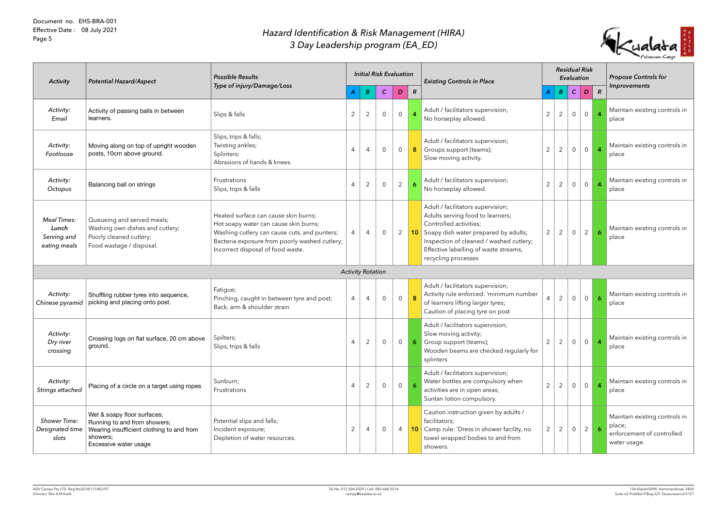## *Hazard Identification & Risk Management (HIRA) 3 Day Leadership program (EA\_ED)*

| <b>Activity</b>                                            | <b>Potential Hazard/Aspect</b>                                                                                                                | <b>Possible Results</b><br>Type of injury/Damage/Loss                                                                                                                                                               |                                  |                | <b>Initial Risk Evaluation</b> |                | <b>Existing Controls in Place</b>                                                                                                                                                                                                                            |                |                | Evaluation     | <b>Residual Risk</b> |                     | <b>Propose Controls for</b>                                                          |
|------------------------------------------------------------|-----------------------------------------------------------------------------------------------------------------------------------------------|---------------------------------------------------------------------------------------------------------------------------------------------------------------------------------------------------------------------|----------------------------------|----------------|--------------------------------|----------------|--------------------------------------------------------------------------------------------------------------------------------------------------------------------------------------------------------------------------------------------------------------|----------------|----------------|----------------|----------------------|---------------------|--------------------------------------------------------------------------------------|
|                                                            |                                                                                                                                               |                                                                                                                                                                                                                     | B                                | $\mathcal{C}$  | D                              | $\mathcal{R}$  |                                                                                                                                                                                                                                                              | $\bm{A}$       | $\overline{B}$ | $\mathcal{C}$  | D                    | $\mathbb{R}$        | Improvements                                                                         |
| Activity:<br>Email                                         | Activity of passing balls in between<br>learners.                                                                                             | Slips & falls                                                                                                                                                                                                       | $\overline{2}$<br>$\overline{2}$ | $\overline{0}$ | $\overline{0}$                 |                | Adult / facilitators supervision;<br>No horseplay allowed.                                                                                                                                                                                                   | $\overline{2}$ | $\overline{2}$ | $\overline{0}$ | $\overline{0}$       |                     | Maintain existing controls in<br>place                                               |
| Activity:<br>Footloose                                     | Moving along on top of upright wooden<br>posts, 10cm above ground.                                                                            | Slips, trips & falls;<br>Twisting ankles;<br>Splinters;<br>Abrasions of hands & knees.                                                                                                                              | 4<br>4                           | $\overline{0}$ | $\overline{0}$                 | 8 <sup>1</sup> | Adult / facilitators supervision;<br>Groups support (teams);<br>Slow moving activity.                                                                                                                                                                        | $\overline{2}$ | $\overline{2}$ | $\overline{0}$ | $\overline{0}$       |                     | Maintain existing controls in<br>place                                               |
| Activity:<br>Octopus                                       | Balancing ball on strings                                                                                                                     | Frustrations<br>Slips, trips & falls                                                                                                                                                                                | $\overline{2}$<br>$\overline{4}$ | $\overline{0}$ | $\overline{2}$                 |                | Adult / facilitators supervision;<br>No horseplay allowed.                                                                                                                                                                                                   | $\overline{2}$ | $\overline{2}$ | $\overline{0}$ | $\overline{0}$       |                     | Maintain existing controls in<br>place                                               |
| <b>Meal Times:</b><br>Lunch<br>Serving and<br>eating meals | Queueing and served meals;<br>Washing own dishes and cutlery;<br>Poorly cleaned cutlery;<br>Food wastage / disposal.                          | Heated surface can cause skin burns;<br>Hot soapy water can cause skin burns;<br>Washing cutlery can cause cuts, and punters;<br>Bacteria exposure from poorly washed cutlery;<br>Incorrect disposal of food waste. | 4<br>4                           | $\overline{0}$ | $\overline{2}$                 |                | Adult / facilitators supervision;<br>Adults serving food to learners;<br>Controlled activities;<br><b>10</b> Soapy dish water prepared by adults;<br>Inspection of cleaned / washed cutlery;<br>Effective labelling of waste streams,<br>recycling processes | $2^{\circ}$    | $\overline{2}$ | $\overline{0}$ | $\overline{2}$       | 6                   | Maintain existing controls in<br>place                                               |
|                                                            |                                                                                                                                               |                                                                                                                                                                                                                     | <b>Activity Rotation</b>         |                |                                |                |                                                                                                                                                                                                                                                              |                |                |                |                      |                     |                                                                                      |
| Activity:<br>Chinese pyramid                               | Shuffling rubber tyres into sequence,<br>picking and placing onto post.                                                                       | Fatigue;<br>Pinching, caught in between tyre and post;<br>Back, arm & shoulder strain                                                                                                                               | 4<br>4                           | $\overline{0}$ | $\overline{0}$                 | 8              | Adult / facilitators supervision;<br>Activity rule enforced: 'minimum number<br>of learners lifting larger tyres;<br>Caution of placing tyre on post                                                                                                         | 4              | $\overline{2}$ | $\overline{0}$ | $\overline{0}$       | $\ddot{\mathbf{6}}$ | Maintain existing controls in<br>place                                               |
| Activity:<br>Dry river<br>crossing                         | Crossing logs on flat surface, 20 cm above<br>ground.                                                                                         | Spilters;<br>Slips, trips & falls                                                                                                                                                                                   | 2<br>4                           | $\overline{0}$ | $\overline{0}$                 |                | Adult / facilitators supervision;<br>Slow moving activity;<br>Group support (teams);<br>Wooden beams are checked regularly for<br>splinters                                                                                                                  | $\overline{2}$ | 2              | $\overline{0}$ | $\overline{0}$       |                     | Maintain existing controls in<br>place                                               |
| Activity:<br>Strings attached                              | Placing of a circle on a target using ropes                                                                                                   | Sunburn;<br>Frustrations                                                                                                                                                                                            | 2<br>4                           | $\overline{0}$ | $\overline{0}$                 | $\overline{6}$ | Adult / facilitators supervision;<br>Water bottles are compulsory when<br>activities are in open areas;<br>Suntan lotion compulsory.                                                                                                                         | $\overline{2}$ | $\overline{2}$ | $\overline{0}$ | $\overline{0}$       |                     | Maintain existing controls in<br>place                                               |
| <b>Shower Time:</b><br>Designated time<br>slots            | Wet & soapy floor surfaces;<br>Running to and from showers;<br>Wearing insufficient clothing to and from<br>showers;<br>Excessive water usage | Potential slips and falls;<br>Incident exposure;<br>Depletion of water resources.                                                                                                                                   | 2<br>4                           | $\overline{0}$ | $\overline{4}$                 |                | Caution instruction given by adults /<br>facilitators;<br>10 Camp rule: 'Dress in shower facility, no<br>towel wrapped bodies to and from<br>showers.                                                                                                        | $\overline{2}$ | 2              | $\overline{0}$ | 2 <sup>1</sup>       | $\ddot{\mathbf{6}}$ | Maintain existing controls in<br>place;<br>enforcement of controlled<br>water usage. |

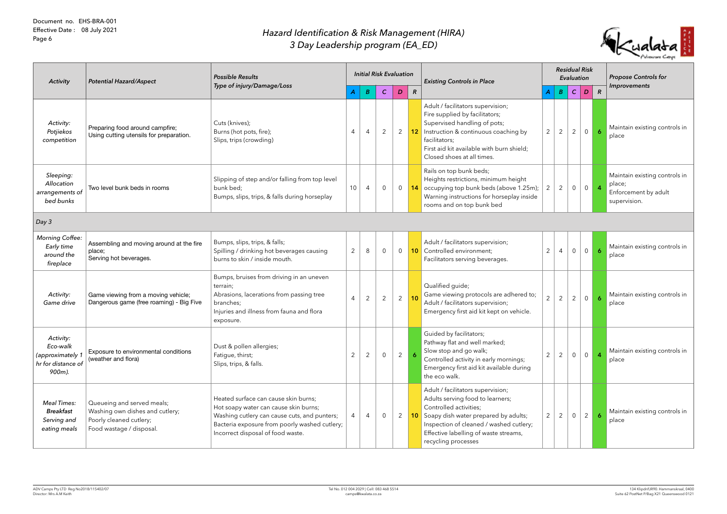| <b>Activity</b>                                                           | <b>Potential Hazard/Aspect</b>                                                                                       | <b>Possible Results</b><br>Type of injury/Damage/Loss                                                                                                                                                               |                 |                | <b>Initial Risk Evaluation</b> |                |                     | <b>Existing Controls in Place</b>                                                                                                                                                                                                                            |                         | <b>Residual Risk</b><br>Evaluation |                |                |                  | <b>Propose Controls for</b><br><b>Improvements</b>                              |
|---------------------------------------------------------------------------|----------------------------------------------------------------------------------------------------------------------|---------------------------------------------------------------------------------------------------------------------------------------------------------------------------------------------------------------------|-----------------|----------------|--------------------------------|----------------|---------------------|--------------------------------------------------------------------------------------------------------------------------------------------------------------------------------------------------------------------------------------------------------------|-------------------------|------------------------------------|----------------|----------------|------------------|---------------------------------------------------------------------------------|
|                                                                           |                                                                                                                      |                                                                                                                                                                                                                     | A               | B              | $\mathcal{C}$                  | D              | $\boldsymbol{R}$    |                                                                                                                                                                                                                                                              | $\overline{\mathsf{A}}$ | $\boldsymbol{B}$                   | $\mathcal{C}$  | D              | $\overline{R}$   |                                                                                 |
| Activity:<br>Potjiekos<br>competition                                     | Preparing food around campfire;<br>Using cutting utensils for preparation.                                           | Cuts (knives);<br>Burns (hot pots, fire);<br>Slips, trips (crowding)                                                                                                                                                | $\overline{4}$  | $\overline{4}$ | $\overline{2}$                 | $\overline{2}$ |                     | Adult / facilitators supervision;<br>Fire supplied by facilitators;<br>Supervised handling of pots;<br>12 Instruction & continuous coaching by<br>facilitators;<br>First aid kit available with burn shield;<br>Closed shoes at all times.                   | $\overline{2}$          | 2                                  | $\overline{2}$ | $\overline{0}$ | 6                | Maintain existing controls in<br>place                                          |
| Sleeping:<br>Allocation<br>arrangements of<br>bed bunks                   | Two level bunk beds in rooms                                                                                         | Slipping of step and/or falling from top level<br>bunk bed;<br>Bumps, slips, trips, & falls during horseplay                                                                                                        | 10 <sup>°</sup> | 4              | $\overline{0}$                 | $\overline{0}$ |                     | Rails on top bunk beds;<br>Heights restrictions, minimum height<br><b>14</b> occupying top bunk beds (above 1.25m);<br>Warning instructions for horseplay inside<br>rooms and on top bunk bed                                                                | $\overline{2}$          | $\overline{2}$                     |                | 0 0            | $\overline{4}$   | Maintain existing controls in<br>place;<br>Enforcement by adult<br>supervision. |
| Day3                                                                      |                                                                                                                      |                                                                                                                                                                                                                     |                 |                |                                |                |                     |                                                                                                                                                                                                                                                              |                         |                                    |                |                |                  |                                                                                 |
| <b>Morning Coffee:</b><br>Early time<br>around the<br>fireplace           | Assembling and moving around at the fire<br>place;<br>Serving hot beverages.                                         | Bumps, slips, trips, & falls;<br>Spilling / drinking hot beverages causing<br>burns to skin / inside mouth.                                                                                                         | 2               | 8              | $\overline{0}$                 | $\overline{0}$ |                     | Adult / facilitators supervision;<br><b>10</b> Controlled environment;<br>Facilitators serving beverages.                                                                                                                                                    | $\overline{2}$          | $\overline{4}$                     | $\overline{0}$ | $\overline{0}$ |                  | Maintain existing controls in<br>place                                          |
| Activity:<br>Game drive                                                   | Game viewing from a moving vehicle;<br>Dangerous game (free roaming) - Big Five                                      | Bumps, bruises from driving in an uneven<br>terrain;<br>Abrasions, lacerations from passing tree<br>branches;<br>Injuries and illness from fauna and flora<br>exposure.                                             | $\overline{4}$  | $\overline{2}$ | $\overline{2}$                 | $\overline{2}$ | 10                  | Qualified guide;<br>Game viewing protocols are adhered to;<br>Adult / facilitators supervision;<br>Emergency first aid kit kept on vehicle.                                                                                                                  | $\overline{2}$          | $\overline{2}$                     | $\overline{2}$ | $\overline{0}$ | $\boldsymbol{6}$ | Maintain existing controls in<br>place                                          |
| Activity:<br>Eco-walk<br>(approximately 1<br>hr for distance of<br>900m). | Exposure to environmental conditions<br>(weather and flora)                                                          | Dust & pollen allergies;<br>Fatigue, thirst;<br>Slips, trips, & falls.                                                                                                                                              | $\overline{2}$  | 2              | $\overline{0}$                 | $2^{\circ}$    | $\ddot{\mathbf{6}}$ | Guided by facilitators;<br>Pathway flat and well marked;<br>Slow stop and go walk;<br>Controlled activity in early mornings;<br>Emergency first aid kit available during<br>the eco walk.                                                                    | $2^{\circ}$             | 2                                  | $\overline{0}$ | $\overline{0}$ | $\overline{4}$   | Maintain existing controls in<br>place                                          |
| <b>Meal Times:</b><br><b>Breakfast</b><br>Serving and<br>eating meals     | Queueing and served meals;<br>Washing own dishes and cutlery;<br>Poorly cleaned cutlery;<br>Food wastage / disposal. | Heated surface can cause skin burns;<br>Hot soapy water can cause skin burns;<br>Washing cutlery can cause cuts, and punters;<br>Bacteria exposure from poorly washed cutlery;<br>Incorrect disposal of food waste. | $\overline{4}$  | 4              | $\overline{0}$                 | $\mathbf{2}$   |                     | Adult / facilitators supervision;<br>Adults serving food to learners;<br>Controlled activities;<br><b>10</b> Soapy dish water prepared by adults;<br>Inspection of cleaned / washed cutlery;<br>Effective labelling of waste streams,<br>recycling processes | $\overline{2}$          | 2                                  | $\overline{0}$ | $\overline{2}$ | 6                | Maintain existing controls in<br>place                                          |